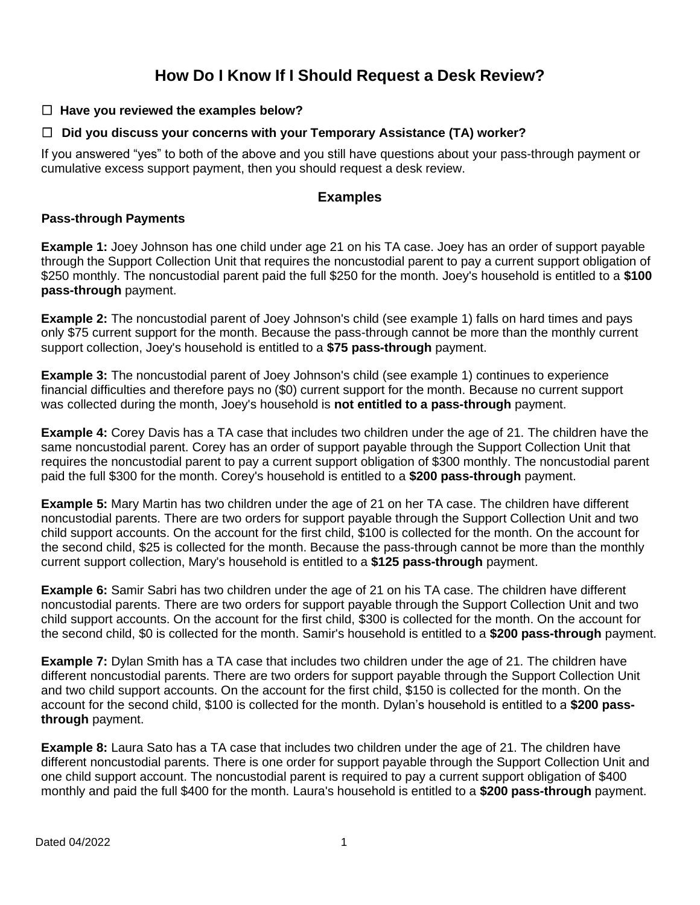# **How Do I Know If I Should Request a Desk Review?**

## ☐ **Have you reviewed the examples below?**

## ☐ **Did you discuss your concerns with your Temporary Assistance (TA) worker?**

If you answered "yes" to both of the above and you still have questions about your pass-through payment or cumulative excess support payment, then you should request a desk review.

## **Examples**

#### **Pass-through Payments**

**Example 1:** Joey Johnson has one child under age 21 on his TA case. Joey has an order of support payable through the Support Collection Unit that requires the noncustodial parent to pay a current support obligation of \$250 monthly. The noncustodial parent paid the full \$250 for the month. Joey's household is entitled to a **\$100 pass-through** payment.

**Example 2:** The noncustodial parent of Joey Johnson's child (see example 1) falls on hard times and pays only \$75 current support for the month. Because the pass-through cannot be more than the monthly current support collection, Joey's household is entitled to a **\$75 pass-through** payment.

**Example 3:** The noncustodial parent of Joey Johnson's child (see example 1) continues to experience financial difficulties and therefore pays no (\$0) current support for the month. Because no current support was collected during the month, Joey's household is **not entitled to a pass-through** payment.

**Example 4:** Corey Davis has a TA case that includes two children under the age of 21. The children have the same noncustodial parent. Corey has an order of support payable through the Support Collection Unit that requires the noncustodial parent to pay a current support obligation of \$300 monthly. The noncustodial parent paid the full \$300 for the month. Corey's household is entitled to a **\$200 pass-through** payment.

**Example 5:** Mary Martin has two children under the age of 21 on her TA case. The children have different noncustodial parents. There are two orders for support payable through the Support Collection Unit and two child support accounts. On the account for the first child, \$100 is collected for the month. On the account for the second child, \$25 is collected for the month. Because the pass-through cannot be more than the monthly current support collection, Mary's household is entitled to a **\$125 pass-through** payment.

**Example 6:** Samir Sabri has two children under the age of 21 on his TA case. The children have different noncustodial parents. There are two orders for support payable through the Support Collection Unit and two child support accounts. On the account for the first child, \$300 is collected for the month. On the account for the second child, \$0 is collected for the month. Samir's household is entitled to a **\$200 pass-through** payment.

**Example 7:** Dylan Smith has a TA case that includes two children under the age of 21. The children have different noncustodial parents. There are two orders for support payable through the Support Collection Unit and two child support accounts. On the account for the first child, \$150 is collected for the month. On the account for the second child, \$100 is collected for the month. Dylan's household is entitled to a **\$200 passthrough** payment.

**Example 8:** Laura Sato has a TA case that includes two children under the age of 21. The children have different noncustodial parents. There is one order for support payable through the Support Collection Unit and one child support account. The noncustodial parent is required to pay a current support obligation of \$400 monthly and paid the full \$400 for the month. Laura's household is entitled to a **\$200 pass-through** payment.